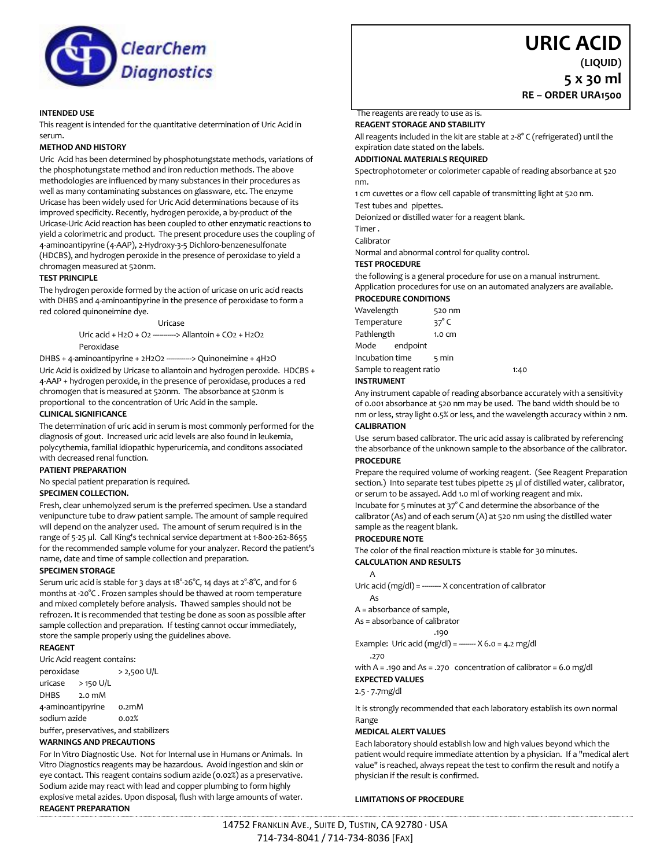

# **URIC ACID**

**RE – ORDER URA1500**

**(LIQUID) 5 x 30 ml**

# **INTENDED USE**

This reagent is intended for the quantitative determination of Uric Acid in serum.

## **METHOD AND HISTORY**

Uric Acid has been determined by phosphotungstate methods, variations of the phosphotungstate method and iron reduction methods. The above methodologies are influenced by many substances in their procedures as well as many contaminating substances on glassware, etc. The enzyme Uricase has been widely used for Uric Acid determinations because of its improved specificity. Recently, hydrogen peroxide, a by-product of the Uricase-Uric Acid reaction has been coupled to other enzymatic reactions to yield a colorimetric and product. The present procedure uses the coupling of 4-aminoantipyrine (4-AAP), 2-Hydroxy-3-5 Dichloro-benzenesulfonate (HDCBS), and hydrogen peroxide in the presence of peroxidase to yield a chromagen measured at 520nm.

## **TEST PRINCIPLE**

The hydrogen peroxide formed by the action of uricase on uric acid reacts with DHBS and 4-aminoantipyrine in the presence of peroxidase to form a red colored quinoneimine dye.

#### Uricase

Uric acid + H2O + O2 -----------> Allantoin + CO2 + H2O2 Peroxidase

DHBS + 4-aminoantipyrine + 2H2O2 ------------> Quinoneimine + 4H2O Uric Acid is oxidized by Uricase to allantoin and hydrogen peroxide. HDCBS + 4-AAP + hydrogen peroxide, in the presence of peroxidase, produces a red chromogen that is measured at 520nm. The absorbance at 520nm is proportional to the concentration of Uric Acid in the sample.

# **CLINICAL SIGNIFICANCE**

The determination of uric acid in serum is most commonly performed for the diagnosis of gout. Increased uric acid levels are also found in leukemia, polycythemia, familial idiopathic hyperuricemia, and conditons associated with decreased renal function.

# **PATIENT PREPARATION**

No special patient preparation is required.

# **SPECIMEN COLLECTION.**

Fresh, clear unhemolyzed serum is the preferred specimen. Use a standard venipuncture tube to draw patient sample. The amount of sample required will depend on the analyzer used. The amount of serum required is in the range of 5-25 µl. Call King's technical service department at 1-800-262-8655 for the recommended sample volume for your analyzer. Record the patient's name, date and time of sample collection and preparation.

## **SPECIMEN STORAGE**

Serum uric acid is stable for 3 days at 18°-26°C, 14 days at 2°-8°C, and for 6 months at -20°C . Frozen samples should be thawed at room temperature and mixed completely before analysis. Thawed samples should not be refrozen. It is recommended that testing be done as soon as possible after sample collection and preparation. If testing cannot occur immediately, store the sample properly using the guidelines above.

## **REAGENT**

Uric Acid reagent contains: peroxidase > 2,500 U/L uricase > 150 U/L DHBS 2.0 mM 4-aminoantipyrine 0.2mM sodium azide 0.02% buffer, preservatives, and stabilizers

## **WARNINGS AND PRECAUTIONS**

For In Vitro Diagnostic Use. Not for Internal use in Humans or Animals. In Vitro Diagnostics reagents may be hazardous. Avoid ingestion and skin or eye contact. This reagent contains sodium azide (0.02%) as a preservative. Sodium azide may react with lead and copper plumbing to form highly explosive metal azides. Upon disposal, flush with large amounts of water. **REAGENT PREPARATION**

## The reagents are ready to use as is.

**REAGENT STORAGE AND STABILITY**

All reagents included in the kit are stable at 2-8° C (refrigerated) until the expiration date stated on the labels.

### **ADDITIONAL MATERIALS REQUIRED**

Spectrophotometer or colorimeter capable of reading absorbance at 520 nm.

1 cm cuvettes or a flow cell capable of transmitting light at 520 nm. Test tubes and pipettes.

Deionized or distilled water for a reagent blank.

Timer .

Calibrator

Normal and abnormal control for quality control.

## **TEST PROCEDURE**

the following is a general procedure for use on a manual instrument. Application procedures for use on an automated analyzers are available.

## **PROCEDURE CONDITIONS**

| Wavelength              |               | 520 nm           |      |
|-------------------------|---------------|------------------|------|
| Temperature             |               | 37 $^{\circ}$ C  |      |
| Pathlength              |               | $1.0 \text{ cm}$ |      |
|                         | Mode endpoint |                  |      |
| Incubation time         |               | 5 min            |      |
| Sample to reagent ratio |               |                  | 1:40 |
| <b>INSTRUMENT</b>       |               |                  |      |

Any instrument capable of reading absorbance accurately with a sensitivity of 0.001 absorbance at 520 nm may be used. The band width should be 10 nm or less, stray light 0.5% or less, and the wavelength accuracy within 2 nm. **CALIBRATION**

Use serum based calibrator. The uric acid assay is calibrated by referencing the absorbance of the unknown sample to the absorbance of the calibrator. **PROCEDURE**

Prepare the required volume of working reagent. (See Reagent Preparation section.) Into separate test tubes pipette 25 µl of distilled water, calibrator, or serum to be assayed. Add 1.0 ml of working reagent and mix.

Incubate for 5 minutes at 37° C and determine the absorbance of the calibrator (As) and of each serum (A) at 520 nm using the distilled water sample as the reagent blank.

## **PROCEDURE NOTE**

The color of the final reaction mixture is stable for 30 minutes. **CALCULATION AND RESULTS**

# A

Uric acid (mg/dl) = -------- X concentration of calibrator

As

A = absorbance of sample,

As = absorbance of calibrator

.190

Example: Uric acid (mg/dl) =  $---x$  X 6.0 = 4.2 mg/dl .270

with A = .190 and As = .270 concentration of calibrator = 6.0 mg/dl **EXPECTED VALUES**

2.5 - 7.7mg/dl

It is strongly recommended that each laboratory establish its own normal Range

# **MEDICAL ALERT VALUES**

Each laboratory should establish low and high values beyond which the patient would require immediate attention by a physician. If a "medical alert value" is reached, always repeat the test to confirm the result and notify a physician if the result is confirmed.

## **LIMITATIONS OF PROCEDURE**